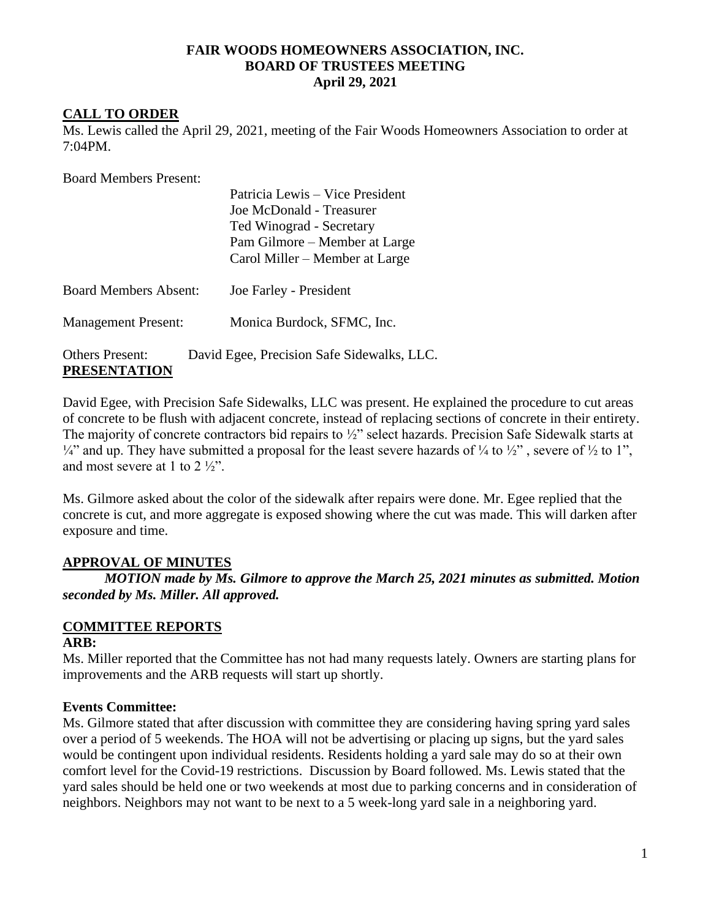#### **FAIR WOODS HOMEOWNERS ASSOCIATION, INC. BOARD OF TRUSTEES MEETING April 29, 2021**

#### **CALL TO ORDER**

Ms. Lewis called the April 29, 2021, meeting of the Fair Woods Homeowners Association to order at 7:04PM.

Board Members Present:

|                              | Patricia Lewis – Vice President            |
|------------------------------|--------------------------------------------|
|                              | Joe McDonald - Treasurer                   |
|                              | Ted Winograd - Secretary                   |
|                              | Pam Gilmore – Member at Large              |
|                              | Carol Miller – Member at Large             |
|                              |                                            |
| <b>Board Members Absent:</b> | Joe Farley - President                     |
|                              |                                            |
| <b>Management Present:</b>   | Monica Burdock, SFMC, Inc.                 |
|                              |                                            |
| <b>Others Present:</b>       | David Egee, Precision Safe Sidewalks, LLC. |
| <b>PRESENTATION</b>          |                                            |

David Egee, with Precision Safe Sidewalks, LLC was present. He explained the procedure to cut areas of concrete to be flush with adjacent concrete, instead of replacing sections of concrete in their entirety. The majority of concrete contractors bid repairs to ½" select hazards. Precision Safe Sidewalk starts at  $\frac{1}{4}$ " and up. They have submitted a proposal for the least severe hazards of  $\frac{1}{4}$  to  $\frac{1}{2}$ ", severe of  $\frac{1}{2}$  to 1", and most severe at 1 to 2 ½".

Ms. Gilmore asked about the color of the sidewalk after repairs were done. Mr. Egee replied that the concrete is cut, and more aggregate is exposed showing where the cut was made. This will darken after exposure and time.

#### **APPROVAL OF MINUTES**

*MOTION made by Ms. Gilmore to approve the March 25, 2021 minutes as submitted. Motion seconded by Ms. Miller. All approved.*

# **COMMITTEE REPORTS**

#### **ARB:**

Ms. Miller reported that the Committee has not had many requests lately. Owners are starting plans for improvements and the ARB requests will start up shortly.

#### **Events Committee:**

Ms. Gilmore stated that after discussion with committee they are considering having spring yard sales over a period of 5 weekends. The HOA will not be advertising or placing up signs, but the yard sales would be contingent upon individual residents. Residents holding a yard sale may do so at their own comfort level for the Covid-19 restrictions. Discussion by Board followed. Ms. Lewis stated that the yard sales should be held one or two weekends at most due to parking concerns and in consideration of neighbors. Neighbors may not want to be next to a 5 week-long yard sale in a neighboring yard.